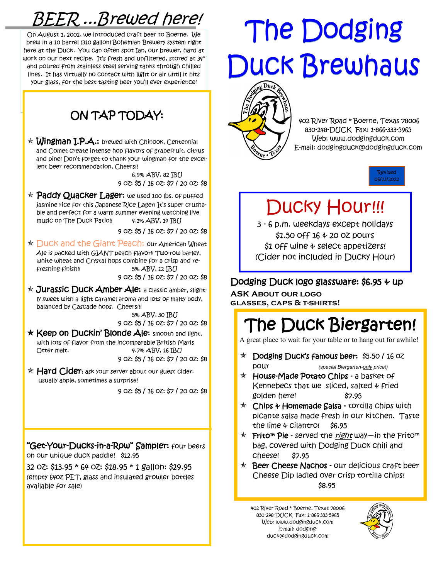### *BEER ...Brewed here!*

*On August 1, 2002, we introduced craft beer to Boerne. We brew in a 10 barrel (310 gallon) Bohemian Brewery system right here at the Duck. You can often spot Ian, our brewer, hard at*  work on our next recipe. It's fresh and unfiltered, stored at  $34^{\circ}$ *and poured from stainless steel serving tanks through chilled lines. It has virtually no contact with light or air until it hits*  your glass, for the best tasting beer you'll ever experience!

### *ON TAP TODAY:*

 *Wingman I.P.A.: brewed with Chinook, Centennial and Comet create intense hop flavors of grapefruit, citrus and pine!* Don't forget to thank your wingman for the excel*lent beer recommendation, Cheers!!* 

> *6.9% ABV, 82 IBU 9 oz: \$5 / 16 oz: \$7 / 20 oz: \$8*

 *Paddy Quacker Lager: we used 100 lbs. of puffed*  jasmine rice for this Japanese Rice Lager! It's super crusha*ble and perfect for a warm summer evening watching live music on The Duck Patio!! 4.1% ABV, 14 IBU* 

*9 oz: \$5 / 16 oz: \$7 / 20 oz: \$8* 

- *Duck and the Giant Peach: our American Wheat Ale is packed with GIANT peach flavor!! Two-row barley, white wheat and Crystal hops combine for a crisp and refreshing finish!! 5% ABV, 12 IBU 9 oz: \$5 / 16 oz: \$7 / 20 oz: \$8*
- *Jurassic Duck Amber Ale: a classic amber, slightly sweet with a light caramel aroma and lots of malty body, balanced by Cascade hops. Cheers!!!*

 *5% ABV, 30 IBU 9 oz: \$5 / 16 oz: \$7 / 20 oz: \$8* 

 Keep on Duckin' Blonde Ale*: smooth and light, with lots of flavor from the incomparable British Maris Otter malt. 4.7% ABV, 16 IBU 9 oz: \$5 / 16 oz: \$7 / 20 oz: \$8*

 *Hard Cider: ask your server about our guest cider: usually apple, sometimes a surprise!* 

*9 oz: \$5 / 16 oz: \$7 / 20 oz: \$8*

"Get*-Your-Ducks-in-a-*Row" Sampler: *four beers on our unique duck paddle! \$12.95* 

*32 oz: \$13.95 \* 64 oz: \$18.95 \* 1 gallon: \$29.95 (empty 64oz PET, glass and insulated growler bottles available for sale)*

# The Dodging **Duck Brewhaus**



 *402 River Road \* Boerne, Texas 78006 830-248-DUCK Fax: 1-866-333-5965 Web: www.dodgingduck.com E-mail: dodgingduck@dodgingduck.com* 



### *Ducky Hour!!!*

*3 - 6 p.m. weekdays except holidays \$1.50 off 16 & 20 oz pours \$1 off wine & select appetizers! (Cider not included in Ducky Hour)* 

#### *Dodging Duck logo glassware: \$6.95 & up*

**ASK About our logo glasses, caps & t-shirts!** 

### *The Duck Biergarten!*

A great place to wait for your table or to hang out for awhile!

- Dodging Duck's famous beer: *\$5.50 / 16 oz pour (special Biergarten-only price!)*
- *House-Made Potato Chips a basket of Kennebecs that we sliced, salted & fried golden here! \$7.95*
- *Chips & Homemade Salsa tortilla chips with picante salsa made fresh in our kitchen. Taste the lime & cilantro! \$6.95*
- Frito™ Pie  *served the right way*—in the Frito™ *bag, covered with Dodging Duck chili and cheese! \$7.95*
- *Beer Cheese Nachos our delicious craft beer Cheese Dip ladled over crisp tortilla chips! \$8.95*

*402 River Road \* Boerne, Texas 78006 830-248-DUCK Fax: 1-866-333-5965 Web: www.dodgingduck.com E-mail: dodgingduck@dodgingduck.com*